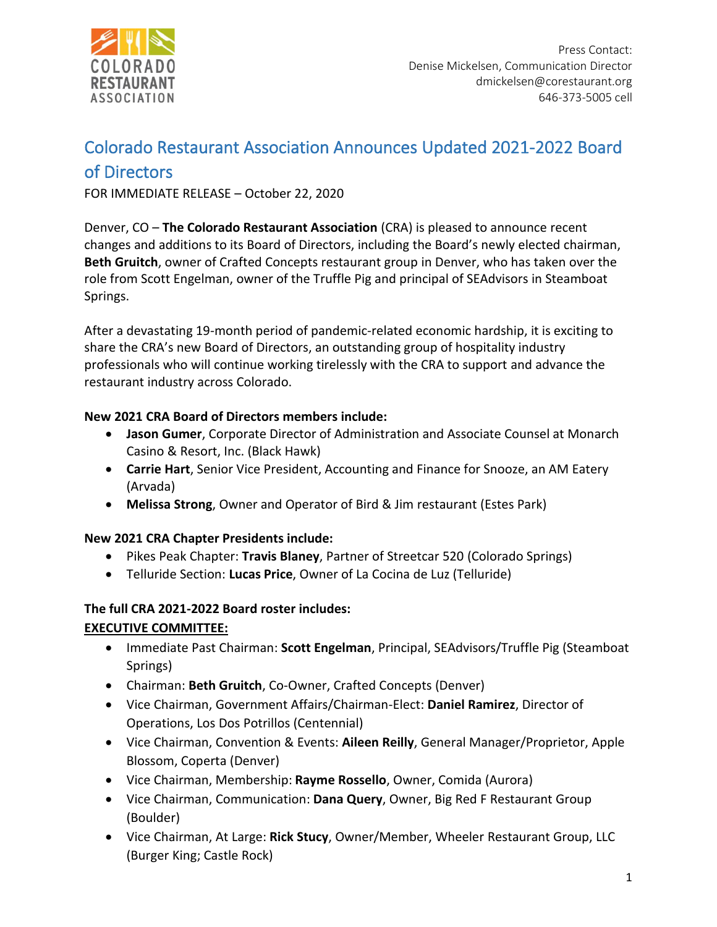

# Colorado Restaurant Association Announces Updated 2021-2022 Board

# of Directors

FOR IMMEDIATE RELEASE – October 22, 2020

Denver, CO – **The Colorado Restaurant Association** (CRA) is pleased to announce recent changes and additions to its Board of Directors, including the Board's newly elected chairman, **Beth Gruitch**, owner of Crafted Concepts restaurant group in Denver, who has taken over the role from Scott Engelman, owner of the Truffle Pig and principal of SEAdvisors in Steamboat Springs.

After a devastating 19-month period of pandemic-related economic hardship, it is exciting to share the CRA's new Board of Directors, an outstanding group of hospitality industry professionals who will continue working tirelessly with the CRA to support and advance the restaurant industry across Colorado.

# **New 2021 CRA Board of Directors members include:**

- **Jason Gumer**, Corporate Director of Administration and Associate Counsel at Monarch Casino & Resort, Inc. (Black Hawk)
- **Carrie Hart**, Senior Vice President, Accounting and Finance for Snooze, an AM Eatery (Arvada)
- **Melissa Strong**, Owner and Operator of Bird & Jim restaurant (Estes Park)

## **New 2021 CRA Chapter Presidents include:**

- Pikes Peak Chapter: **Travis Blaney**, Partner of Streetcar 520 (Colorado Springs)
- Telluride Section: **Lucas Price**, Owner of La Cocina de Luz (Telluride)

## **The full CRA 2021-2022 Board roster includes:**

# **EXECUTIVE COMMITTEE:**

- Immediate Past Chairman: **Scott Engelman**, Principal, SEAdvisors/Truffle Pig (Steamboat Springs)
- Chairman: **Beth Gruitch**, Co-Owner, Crafted Concepts (Denver)
- Vice Chairman, Government Affairs/Chairman-Elect: **Daniel Ramirez**, Director of Operations, Los Dos Potrillos (Centennial)
- Vice Chairman, Convention & Events: **Aileen Reilly**, General Manager/Proprietor, Apple Blossom, Coperta (Denver)
- Vice Chairman, Membership: **Rayme Rossello**, Owner, Comida (Aurora)
- Vice Chairman, Communication: **Dana Query**, Owner, Big Red F Restaurant Group (Boulder)
- Vice Chairman, At Large: **Rick Stucy**, Owner/Member, Wheeler Restaurant Group, LLC (Burger King; Castle Rock)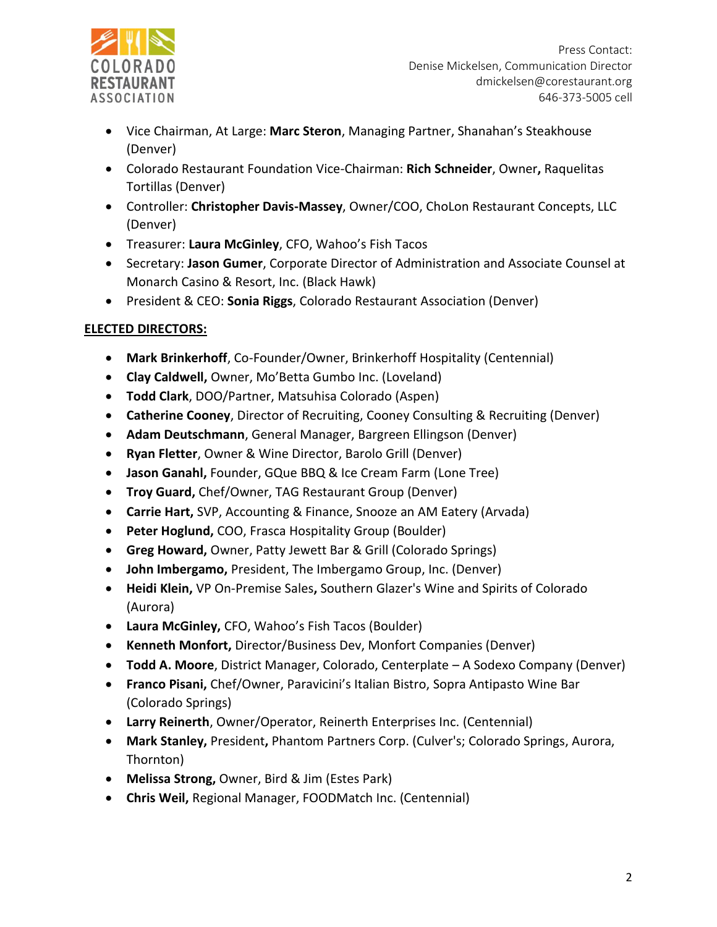

- Vice Chairman, At Large: **Marc Steron**, Managing Partner, Shanahan's Steakhouse (Denver)
- Colorado Restaurant Foundation Vice-Chairman: **Rich Schneider**, Owner**,** Raquelitas Tortillas (Denver)
- Controller: **Christopher Davis-Massey**, Owner/COO, ChoLon Restaurant Concepts, LLC (Denver)
- Treasurer: **Laura McGinley**, CFO, Wahoo's Fish Tacos
- Secretary: **Jason Gumer**, Corporate Director of Administration and Associate Counsel at Monarch Casino & Resort, Inc. (Black Hawk)
- President & CEO: **Sonia Riggs**, Colorado Restaurant Association (Denver)

# **ELECTED DIRECTORS:**

- **Mark Brinkerhoff**, Co-Founder/Owner, Brinkerhoff Hospitality (Centennial)
- **Clay Caldwell,** Owner, Mo'Betta Gumbo Inc. (Loveland)
- **Todd Clark**, DOO/Partner, Matsuhisa Colorado (Aspen)
- **Catherine Cooney**, Director of Recruiting, Cooney Consulting & Recruiting (Denver)
- **Adam Deutschmann**, General Manager, Bargreen Ellingson (Denver)
- **Ryan Fletter**, Owner & Wine Director, Barolo Grill (Denver)
- **Jason Ganahl,** Founder, GQue BBQ & Ice Cream Farm (Lone Tree)
- **Troy Guard,** Chef/Owner, TAG Restaurant Group (Denver)
- **Carrie Hart,** SVP, Accounting & Finance, Snooze an AM Eatery (Arvada)
- **Peter Hoglund,** COO, Frasca Hospitality Group (Boulder)
- **Greg Howard,** Owner, Patty Jewett Bar & Grill (Colorado Springs)
- **John Imbergamo,** President, The Imbergamo Group, Inc. (Denver)
- **Heidi Klein,** VP On-Premise Sales**,** Southern Glazer's Wine and Spirits of Colorado (Aurora)
- **Laura McGinley,** CFO, Wahoo's Fish Tacos (Boulder)
- **Kenneth Monfort,** Director/Business Dev, Monfort Companies (Denver)
- **Todd A. Moore**, District Manager, Colorado, Centerplate A Sodexo Company (Denver)
- **Franco Pisani,** Chef/Owner, Paravicini's Italian Bistro, Sopra Antipasto Wine Bar (Colorado Springs)
- **Larry Reinerth**, Owner/Operator, Reinerth Enterprises Inc. (Centennial)
- **Mark Stanley,** President**,** Phantom Partners Corp. (Culver's; Colorado Springs, Aurora, Thornton)
- **Melissa Strong,** Owner, Bird & Jim (Estes Park)
- **Chris Weil,** Regional Manager, FOODMatch Inc. (Centennial)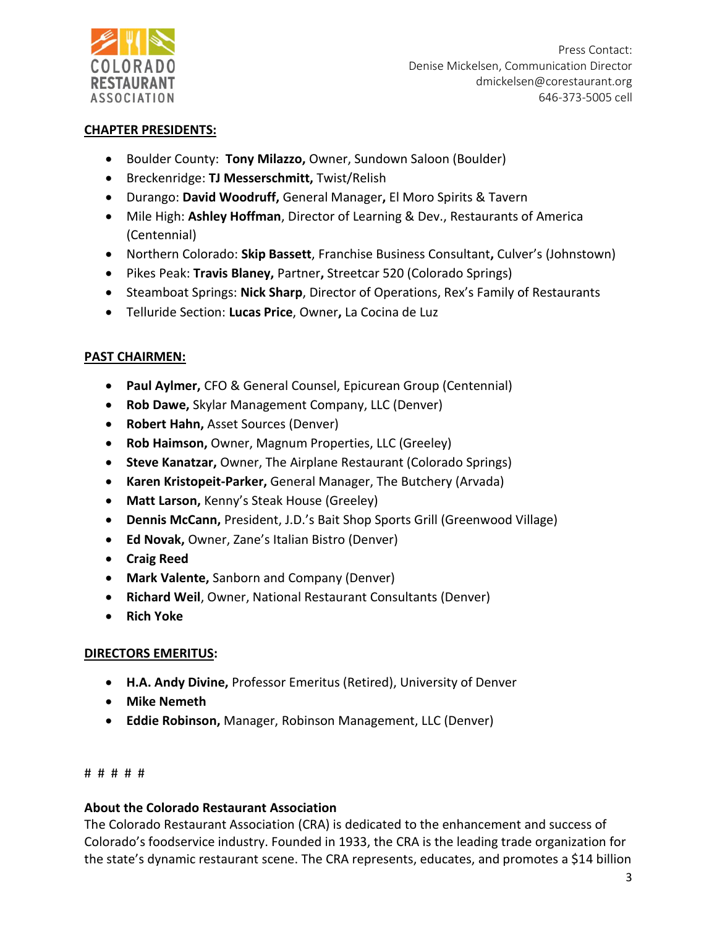

Press Contact: Denise Mickelsen, Communication Director dmickelsen@corestaurant.org 646-373-5005 cell

#### **CHAPTER PRESIDENTS:**

- Boulder County: **Tony Milazzo,** Owner, Sundown Saloon (Boulder)
- Breckenridge: **TJ Messerschmitt,** Twist/Relish
- Durango: **David Woodruff,** General Manager**,** El Moro Spirits & Tavern
- Mile High: **Ashley Hoffman**, Director of Learning & Dev., Restaurants of America (Centennial)
- Northern Colorado: **Skip Bassett**, Franchise Business Consultant**,** Culver's (Johnstown)
- Pikes Peak: **Travis Blaney,** Partner**,** Streetcar 520 (Colorado Springs)
- Steamboat Springs: **Nick Sharp**, Director of Operations, Rex's Family of Restaurants
- Telluride Section: **Lucas Price**, Owner**,** La Cocina de Luz

## **PAST CHAIRMEN:**

- **Paul Aylmer,** CFO & General Counsel, Epicurean Group (Centennial)
- **Rob Dawe,** Skylar Management Company, LLC (Denver)
- **Robert Hahn,** Asset Sources (Denver)
- **Rob Haimson,** Owner, Magnum Properties, LLC (Greeley)
- **Steve Kanatzar,** Owner, The Airplane Restaurant (Colorado Springs)
- **Karen Kristopeit-Parker,** General Manager, The Butchery (Arvada)
- **Matt Larson,** Kenny's Steak House (Greeley)
- **Dennis McCann,** President, J.D.'s Bait Shop Sports Grill (Greenwood Village)
- **Ed Novak,** Owner, Zane's Italian Bistro (Denver)
- **Craig Reed**
- **Mark Valente,** Sanborn and Company (Denver)
- **Richard Weil**, Owner, National Restaurant Consultants (Denver)
- **Rich Yoke**

## **DIRECTORS EMERITUS:**

- **H.A. Andy Divine,** Professor Emeritus (Retired), University of Denver
- **Mike Nemeth**
- **Eddie Robinson,** Manager, Robinson Management, LLC (Denver)

#### # # # # #

## **About the Colorado Restaurant Association**

The Colorado Restaurant Association (CRA) is dedicated to the enhancement and success of Colorado's foodservice industry. Founded in 1933, the CRA is the leading trade organization for the state's dynamic restaurant scene. The CRA represents, educates, and promotes a \$14 billion